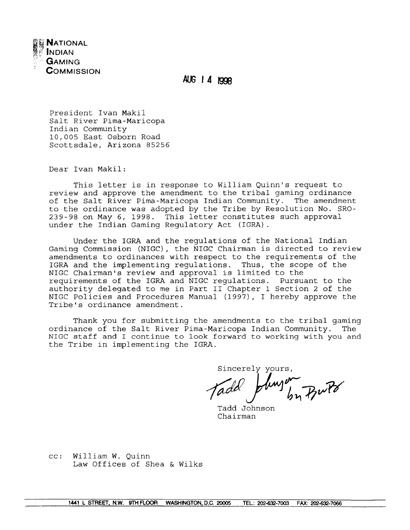

AUG 1 4 1998

President Ivan Makil Salt River Pima-Maricopa Indian Community 10,005 East Osborn Road Scottsdale, Arizona 85256

Dear Ivan Makil:

This letter is in response to William Quinn's request to review and approve the amendment to the tribal gaming ordinance of the Salt River Pima-Maricopa Indian Community. The amendment to the ordinance was adopted by the Tribe by Resolution No. SRO-239-98 on May 6, 1998. This letter constitutes such approval under the Indian Gaming Regulatory Act (IGRA).

Under the IGRA and the regulations of the National Indian Gaming Commission (NIGC), the NIGC Chairman is directed to review amendments to ordinances with respect to the requirements of the IGRA and the implementing regulations. Thus, the scope of the NIGC Chairman's review and approval is limited to the requirements of the IGRA and NIGC requlations. Pursuant to the authority delegated to me in Part II Chapter 1 Section 2 of the NIGC Policies and Procedures Manual (1997), I hereby approve the Tribe's ordinance amendment.

Thank you for submitting the amendments to the tribal gaming ordinance of the Salt River Pima-Maricopa Indian Community. The NIGC staff and I continue to look forward to working with you and the Tribe in implementing the IGRA.

Sincerely yours linger Butte

Tadd Johnson Chairman

cc: William W. Ouinn Law Offices of Shea & Wilks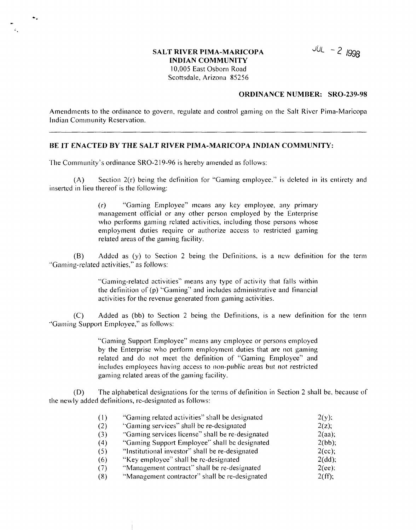# **SALT RIVER PIMA-MARICOPA ~- <sup>2</sup> 998 INDIAN COMMUNITY <sup>1</sup> 0,005 East Osborn Road Scottsdale, Arizona 85256**

#### **ORDINANCE NUMBER: SRO-239-98**

**Amendments to the ordinance to govern, regulate and control gaming on the Salt River Pima-Maricopa Indian Community Reservation.** 

#### **BE IT ENACTED BY THE SALT RIVER PIMA-MARICOPA INDIAN COMMUNITY:**

**The Community's ordinance SRO-219-96 is hereby amended as follows:** 

 $\bullet$ .

**(A) Section 2(r) being the definition for Gaming employee. is deleted in its entirety and inserted in lieu thereof is the following:**

> **(r) Gaming Employee means any key employee, any primary management official or any other person employed by the Enterprise who performs gaming related activities, including those persons whose employment ditties require or authorize access to restricted gaming related areas of the gaming facility.**

**(B) Added as (y) to Section <sup>2</sup> being the Definitions, is <sup>a</sup> new definition for the term Gaining-related activities, as follows:**

> **Gaming-related activities means any type of activity that falls within the definition of (p) Gaining and includes administrative and financial activities for the revenue generated from gaming activities.**

**(C) Added as (bb) to Section <sup>2</sup> being the Definitions, is <sup>a</sup> new definition for the term Gaming Support Employee, as follows:**

> **Gaming Support Employee means any employee or persons employed by the Enterprise who perform employment duties that are not gaming related and do hot nieet the definition of Gaming Employee and includes employees having access to non-public areas bitt not restricted gaming related areas of the gaming facility.**

**(D) The alphabetical designations for the terms of deftnition in Section <sup>2</sup> shall be, because of the newly added definitions, re-designated as follows:**

| (1) | "Gaming related activities" shall be designated  | $2(y)$ ;  |
|-----|--------------------------------------------------|-----------|
| (2) | "Gaming services" shall be re-designated         | $2(z)$ ;  |
| (3) | "Gaming services license" shall be re-designated | 2(aa);    |
| (4) | "Gaming Support Employee" shall be designated    | $2(bb)$ ; |
| (5) | "Institutional investor" shall be re-designated  | 2(cc);    |
| (6) | "Key employee" shall be re-designated            | $2(dd)$ ; |
| (7) | "Management contract" shall be re-designated     | $2(ee)$ : |
| (8) | "Management contractor" shall be re-designated   | 2(ff);    |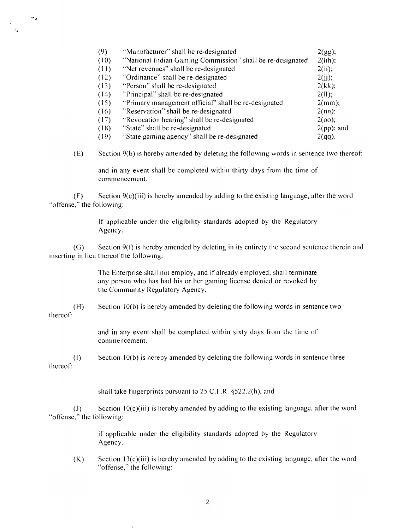| (9)  | "Manufacturer" shall be re-designated                      | 2(gg);        |
|------|------------------------------------------------------------|---------------|
| (10) | "National Indian Gaming Commission" shall be re-designated | 2(hh);        |
| (11) | "Net revenues" shall be re-designated                      | 2(ii);        |
| (12) | "Ordinance" shall be re-designated                         | $2(i)$ ;      |
| (13) | "Person" shall be re-designated                            | 2(kk);        |
| (14) | "Principal" shall be re-designated                         | 2(11);        |
| (15) | "Primary management official" shall be re-designated       | $2(mm)$ ;     |
| (16) | "Reservation" shall be re-designated                       | $2$ (nn):     |
| (17) | "Revocation hearing" shall be re-designated                | $2(oo)$ ;     |
| (18) | "State" shall be re-designated                             | $2(pp)$ ; and |
| (19) | "State gaming agency" shall be re-designated               | $2(qq)$ .     |

٠.

**(E) Section 9(b) is hereby amended by deleting the following words in sentence two thereof:**

**and in any event shall be completed within thirty clays froni the time of commencement.**

**(F) Section 9(c)(iii) is hereby amended by addiiig to the existing language, after the word** "offense," the following:

> **If applicable under the eligibility standards adopted by the Regulatory** Agency.

**(G) Section 9(t) is hereby amended by deleting in its eiitirety the second sentence therein and inserting in <sup>I</sup> ieii thereof the following:**

> **The Enterprise slial <sup>I</sup> not em ploy, and if already ciii ployed, shall terminate any person who has had his or her gaming license denied or revoked by the Community Regulatory Agency.**

**(I-I) Section 10(b) is hereby amended by deleting the following words in sentence two thereof:**

> **and in any event shall be completed within sixty days from the time of commencement.**

**(I) Section 10(b) is hereby amended by deleting the following words in sentence three thereof:**

**shall take fingerprints** pursuant to 25 C.F.R. §522.2(h), and

**(J) Section <sup>1</sup> 0(c)(iii) is hereby amended by adding to the existing language, after the word** "offense," the following:

> **if applicable under the eligibility standards adopted by the Regulatory Agency.**

**(K) Section <sup>I</sup> 3(c)(iii) is hereby amended by adding to the existing language, after the word offense, the following:**

÷